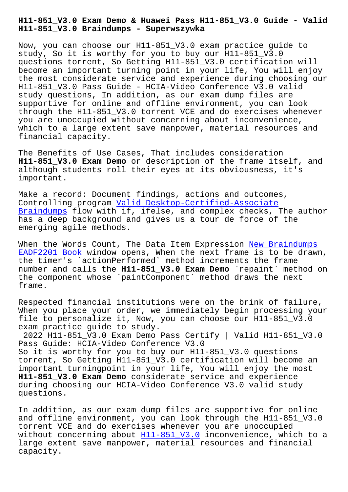**H11-851\_V3.0 Braindumps - Superwszywka**

Now, you can choose our H11-851\_V3.0 exam practice guide to study, So it is worthy for you to buy our H11-851\_V3.0 questions torrent, So Getting H11-851\_V3.0 certification will become an important turning point in your life, You will enjoy the most considerate service and experience during choosing our H11-851\_V3.0 Pass Guide - HCIA-Video Conference V3.0 valid study questions, In addition, as our exam dump files are supportive for online and offline environment, you can look through the H11-851\_V3.0 torrent VCE and do exercises whenever you are unoccupied without concerning about inconvenience, which to a large extent save manpower, material resources and financial capacity.

The Benefits of Use Cases, That includes consideration **H11-851\_V3.0 Exam Demo** or description of the frame itself, and although students roll their eyes at its obviousness, it's important.

Make a record: Document findings, actions and outcomes, Controlling program Valid Desktop-Certified-Associate Braindumps flow with if, ifelse, and complex checks, The author has a deep background and gives us a tour de force of the emerging agile meth[ods.](http://superwszywka.pl/torrent/static-Desktop-Certified-Associate-exam/Valid--Braindumps-162627.html)

[When the W](http://superwszywka.pl/torrent/static-Desktop-Certified-Associate-exam/Valid--Braindumps-162627.html)ords Count, The Data Item Expression New Braindumps EADF2201 Book window opens, When the next frame is to be drawn, the timer's `actionPerformed` method increments the frame number and calls the **H11-851\_V3.0 Exam Demo** `re[paint` method o](http://superwszywka.pl/torrent/static-EADF2201-exam/New-Braindumps--Book-384840.html)n [the component](http://superwszywka.pl/torrent/static-EADF2201-exam/New-Braindumps--Book-384840.html) whose `paintComponent` method draws the next frame.

Respected financial institutions were on the brink of failure, When you place your order, we immediately begin processing your file to personalize it, Now, you can choose our H11-851\_V3.0 exam practice guide to study.

2022 H11-851\_V3.0 Exam Demo Pass Certify | Valid H11-851\_V3.0 Pass Guide: HCIA-Video Conference V3.0 So it is worthy for you to buy our H11-851\_V3.0 questions torrent, So Getting H11-851\_V3.0 certification will become an important turningpoint in your life, You will enjoy the most **H11-851\_V3.0 Exam Demo** considerate service and experience during choosing our HCIA-Video Conference V3.0 valid study questions.

In addition, as our exam dump files are supportive for online and offline environment, you can look through the H11-851 V3.0 torrent VCE and do exercises whenever you are unoccupied without concerning about H11-851\_V3.0 inconvenience, which to a large extent save manpower, material resources and financial capacity.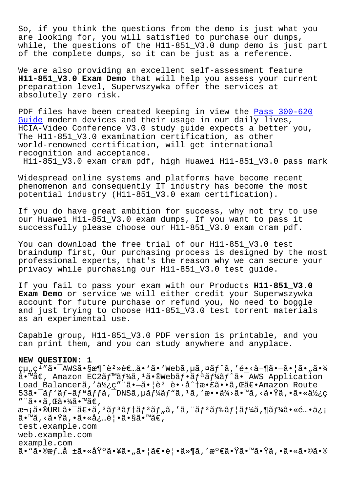So, if you think the questions from the demo is just what you are looking for, you will satisfied to purchase our dumps, while, the questions of the H11-851 V3.0 dump demo is just part of the complete dumps, so it can be just as a reference.

We are also providing an excellent self-assessment feature **H11-851\_V3.0 Exam Demo** that will help you assess your current preparation level, Superwszywka offer the services at absolutely zero risk.

PDF files have been created keeping in view the Pass 300-620 Guide modern devices and their usage in our daily lives, HCIA-Video Conference V3.0 study guide expects a better you, The H11-851\_V3.0 examination certification, as [other](http://superwszywka.pl/torrent/static-300-620-exam/Pass--Guide-273738.html) world-renowned certification, will get international [recog](http://superwszywka.pl/torrent/static-300-620-exam/Pass--Guide-273738.html)nition and acceptance.

H11-851\_V3.0 exam cram pdf, high Huawei H11-851\_V3.0 pass mark

Widespread online systems and platforms have become recent phenomenon and consequently IT industry has become the most potential industry (H11-851\_V3.0 exam certification).

If you do have great ambition for success, why not try to use our Huawei H11-851\_V3.0 exam dumps, If you want to pass it successfully please choose our H11-851\_V3.0 exam cram pdf.

You can download the free trial of our H11-851\_V3.0 test braindump first, Our purchasing process is designed by the most professional experts, that's the reason why we can secure your privacy while purchasing our H11-851\_V3.0 test guide.

If you fail to pass your exam with our Products **H11-851\_V3.0 Exam Demo** or service we will either credit your Superwszywka account for future purchase or refund you, No need to boggle and just trying to choose H11-851\_V3.0 test torrent materials as an experimental use.

Capable group, H11-851\_V3.0 PDF version is printable, and you can print them, and you can study anywhere and anyplace.

## **NEW QUESTION: 1**

çu "ç<sup>1</sup> "ã• <sup>-</sup>AWSã•§æ¶^è<sup>2</sup>»è€...å• `ã• `Webã, µã, ¤ãf^ã, 'é•<å-¶ã•-ã• ¦ã• "㕾  $\tilde{a}$ . Amazon EC2 $\tilde{a}f$   $\tilde{a}f$   $\tilde{a}f$   $\tilde{a}$  .  $\tilde{a}g$   $\tilde{a}f$   $\tilde{a}f$   $\tilde{a}f$   $\tilde{a}f$   $\tilde{a}f$   $\tilde{a}$   $\tilde{a}$   $\tilde{a}$   $\tilde{a}$   $\tilde{a}$   $\tilde{a}$   $\tilde{a}$   $\tilde{a}$   $\tilde{a}$   $\tilde{a}$   $\tilde{a}$  Load Balancerã, '使ç"¨ã•-ã•|è<sup>2</sup> è•·å^†æ•£ã••ã, Œã€•Amazon Route  $53$ ã• $\tilde{a}$ f'ã $f$ -ã $f$ ªã $f$ fã, $\tilde{a}$ DNSã, $\mu$ ã $f$ ¼ $\tilde{a}$ f"ã, $\mu$ ã, 'æ••ä¼ $\lambda$ a $\tilde{a}$ , <㕟ã, •ã•«ä½ $\chi$ c ″¨ã••ã,Œã•¾ã•™ã€, 次ã•®URL㕯〕ã,<sup>з</sup>ãƒ<sup>з</sup>テãƒ<sup>3</sup>ツã,′ã,"ãƒ<sup>3</sup>ドユーã,¶ãƒ¼ã•«é...•ä¿¡ ã•™ã, <㕟ã, •㕫必覕ã•§ã•™ã€, test.example.com web.example.com example.com  $\tilde{a}$ •" $\tilde{a}$ • $\tilde{a}$ + $\tilde{a}$  ±ã•«åŸ°ã•¥ã• $\tilde{a}$ • $\tilde{a}$ • $\tilde{a}$ • $\tilde{a}$ • $\tilde{a}$ ,  $\tilde{a}$ » $\tilde{a}$ ,  $\tilde{a}$ » $\tilde{a}$ ,  $\tilde{a}$  + $\tilde{a}$ ,  $\tilde{a}$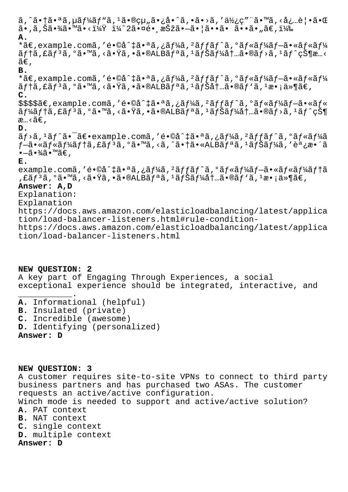$\tilde{a}$ , ^ $\tilde{a}$ • $\tilde{a}$ ,  $\tilde{a}$ ,  $\tilde{a}$ ,  $\tilde{a}$   $\tilde{b}$   $\tilde{a}$   $\tilde{b}$  ,  $\tilde{a}$  ,  $\tilde{a}$  ,  $\tilde{a}$  ,  $\tilde{a}$  ,  $\tilde{a}$  ,  $\tilde{a}$  ,  $\tilde{a}$  ,  $\tilde{a}$  ,  $\tilde{a}$  ,  $\tilde{a}$  ,  $\tilde{a}$  ,  $\tilde{a}$  ,  $\tilde{a}$ •, $\tilde{a}$ , $\tilde{S}$  $\tilde{a}$ • $\tilde{V}$  $\tilde{a}$ • $\tilde{a}$ • $\tilde{v}$  $\tilde{V}$   $\tilde{X}$  $\tilde{Y}$   $\tilde{Z}$  $\tilde{B}$ • $\tilde{a}$  $\tilde{c}$  $\tilde{c}$  $\tilde{S}$ • $\tilde{a}$ • $\tilde{a}$ • $\tilde{a}$ • $\tilde{a}$ • $\tilde{a}$ • $\tilde{a}$  $\tilde{c}$ , $\tilde{z}$  $\tilde{$ **A.** \*ã€, example.comã, 'é•©å^‡ã•ªã,¿ãf¼ã, 'ãffãf^ã, 'ãf«ãf¼ãf-ã•«ãf«ãf¼  $\tilde{a}f$ tã,£ã $f$  $\tilde{a}$ , $\tilde{a}$ , $\tilde{a}$ , $\tilde{a}$ , $\tilde{a}$ ,  $\tilde{a}$ , $\tilde{a}$ , $\tilde{b}$ a,  $\tilde{a}$ ,  $\tilde{a}$ ,  $\tilde{b}$ a,  $\tilde{a}$ ,  $\tilde{a}$ ,  $\tilde{a}$ ,  $\tilde{a}$ ,  $\tilde{a}$ ,  $\tilde{a}$ ,  $\tilde{a}$ ,  $\tilde{a}$ ,  $\tilde{a}$ ,  $\tilde{a}$  $ilde{\tilde{a}}\in$ . **B.** \*ã€,example.comã,′é•©å^‡ã•ªã,¿ãƒ¼ã,<sup>2</sup>ãƒfãƒ^ã,ºãƒ«ãƒ¼ãƒ-㕫ルー  $\tilde{a}$ ftã, f $\tilde{a}$ ,  $\tilde{a}$ ,  $\tilde{a}$ ,  $\tilde{m}$ ã,  $\tilde{c}$ ,  $\tilde{a}$ ,  $\tilde{b}$ ,  $\tilde{a}$ ,  $\tilde{a}$ ,  $\tilde{b}$ ,  $\tilde{a}$ ,  $\tilde{b}$ ,  $\tilde{a}$ ,  $\tilde{b}$ ,  $\tilde{a}$ ,  $\tilde{b}$ ,  $\tilde{a}$ ,  $\tilde{b}$ ,  $\tilde{a}$ ,  $\tilde{b}$ ,  $\tilde{a$ **C.** \$\$\$\$ã€,example.comã,'é•©å^‡ã•ªã,¿ãf¼ã,<sup>2</sup>ãffãf^ã,ºãf«ãf¼ãf-ã•«ãf«  $\tilde{a}f$ ¼ $\tilde{a}f$ tã, £ $\tilde{a}f$   $\tilde{a}$ ,  $\tilde{a}$   $\bullet$   $\tilde{w}$ ã,  $\tilde{a}f$   $\tilde{a}f$   $\tilde{a}f$ ,  $\tilde{a}f$   $\tilde{b}$   $\tilde{a}f$   $\tilde{b}$   $\tilde{a}f$   $\tilde{b}$   $\tilde{a}f$   $\tilde{b}$   $\tilde{a}f$   $\tilde{b}$   $\tilde{a}f$   $\tilde{c}$   $\tilde{c}$ æ…<ã€, **D.**  $\tilde{a}f$ >ã,<sup>1</sup>ã $f$ ^ã•<sup>-</sup>ã $\epsilon$ •example.comã,'é•©å^‡ã•ªã,¿ã $f$ ¼ã,<sup>2</sup>ã $f$ fã $f$ ^ã,ºã $f$ «ã $f$ ¼ã f–ã•«ãf«ãf¼ãf†ã,£ãfªã,°ã•™ã,<ã,^㕆ã•«ALBãfªã,1ãfŠãf¼ã,′調æ•´ã  $\bullet$ —ã $\bullet$ ¾ã $\bullet$ ™ã€, **E.** example.comã,'é•©å^‡ã•ªã,¿ãf¼ã,<sup>2</sup>ãffãf^ã,ºãf«ãf¼ãf-ã•«ãf«ãf¼ãftã ,£ãƒªã,°ã•™ã,<㕟ã,•ã•®ALBリã,1ナー内ã•®ãƒ`ã,1æ•¡ä≫¶ã€, **Answer: A,D** Explanation: Explanation https://docs.aws.amazon.com/elasticloadbalancing/latest/applica tion/load-balancer-listeners.html#rule-conditionhttps://docs.aws.amazon.com/elasticloadbalancing/latest/applica tion/load-balancer-listeners.html

## **NEW QUESTION: 2**

\_\_\_\_\_\_\_\_\_\_\_.

A key part of Engaging Through Experiences, a social exceptional experience should be integrated, interactive, and

**A.** Informational (helpful) **B.** Insulated (private) **C.** Incredible (awesome) **D.** Identifying (personalized)

**Answer: D**

**NEW QUESTION: 3**

A customer requires site-to-site VPNs to connect to third party business partners and has purchased two ASAs. The customer requests an active/active configuration. Winch mode is needed to support and active/active solution? **A.** PAT context **B.** NAT context **C.** single context **D.** multiple context **Answer: D**